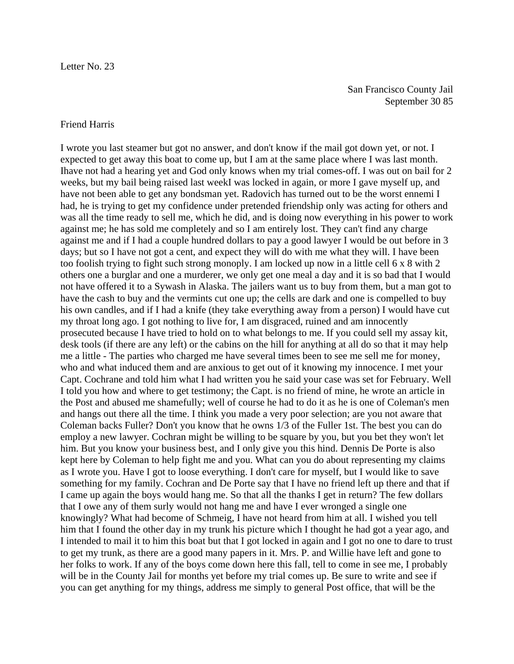## Friend Harris

I wrote you last steamer but got no answer, and don't know if the mail got down yet, or not. I expected to get away this boat to come up, but I am at the same place where I was last month. Ihave not had a hearing yet and God only knows when my trial comes-off. I was out on bail for 2 weeks, but my bail being raised last weekI was locked in again, or more I gave myself up, and have not been able to get any bondsman yet. Radovich has turned out to be the worst ennemi I had, he is trying to get my confidence under pretended friendship only was acting for others and was all the time ready to sell me, which he did, and is doing now everything in his power to work against me; he has sold me completely and so I am entirely lost. They can't find any charge against me and if I had a couple hundred dollars to pay a good lawyer I would be out before in 3 days; but so I have not got a cent, and expect they will do with me what they will. I have been too foolish trying to fight such strong monoply. I am locked up now in a little cell 6 x 8 with 2 others one a burglar and one a murderer, we only get one meal a day and it is so bad that I would not have offered it to a Sywash in Alaska. The jailers want us to buy from them, but a man got to have the cash to buy and the vermints cut one up; the cells are dark and one is compelled to buy his own candles, and if I had a knife (they take everything away from a person) I would have cut my throat long ago. I got nothing to live for, I am disgraced, ruined and am innocently prosecuted because I have tried to hold on to what belongs to me. If you could sell my assay kit, desk tools (if there are any left) or the cabins on the hill for anything at all do so that it may help me a little - The parties who charged me have several times been to see me sell me for money, who and what induced them and are anxious to get out of it knowing my innocence. I met your Capt. Cochrane and told him what I had written you he said your case was set for February. Well I told you how and where to get testimony; the Capt. is no friend of mine, he wrote an article in the Post and abused me shamefully; well of course he had to do it as he is one of Coleman's men and hangs out there all the time. I think you made a very poor selection; are you not aware that Coleman backs Fuller? Don't you know that he owns 1/3 of the Fuller 1st. The best you can do employ a new lawyer. Cochran might be willing to be square by you, but you bet they won't let him. But you know your business best, and I only give you this hind. Dennis De Porte is also kept here by Coleman to help fight me and you. What can you do about representing my claims as I wrote you. Have I got to loose everything. I don't care for myself, but I would like to save something for my family. Cochran and De Porte say that I have no friend left up there and that if I came up again the boys would hang me. So that all the thanks I get in return? The few dollars that I owe any of them surly would not hang me and have I ever wronged a single one knowingly? What had become of Schmeig, I have not heard from him at all. I wished you tell him that I found the other day in my trunk his picture which I thought he had got a year ago, and I intended to mail it to him this boat but that I got locked in again and I got no one to dare to trust to get my trunk, as there are a good many papers in it. Mrs. P. and Willie have left and gone to her folks to work. If any of the boys come down here this fall, tell to come in see me, I probably will be in the County Jail for months yet before my trial comes up. Be sure to write and see if you can get anything for my things, address me simply to general Post office, that will be the